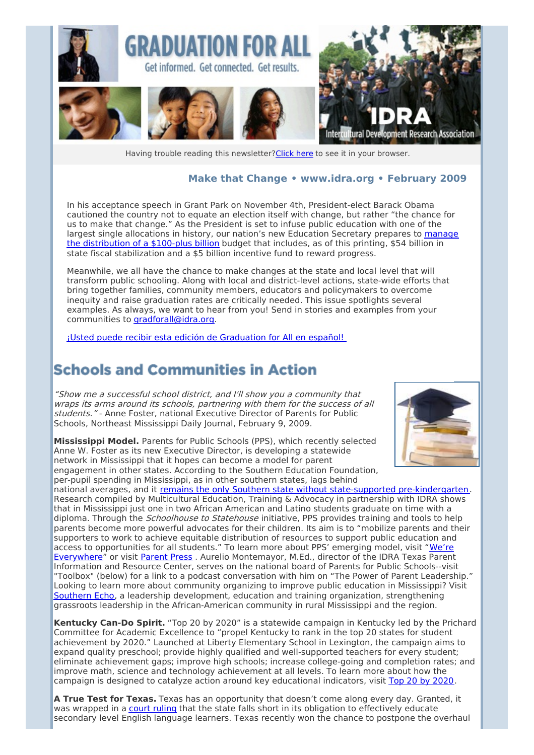

Having trouble reading this newsletter? Click here to see it in your browser.

#### **Make that Change • [www.idra.org](http://idra.createsend1.com/t/1/l/jddtth/l/www.idra.org) • February 2009**

In his acceptance speech in Grant Park on November 4th, President-elect Barack Obama cautioned the country not to equate an election itself with change, but rather "the chance for us to make that change." As the President is set to infuse public education with one of the largest single [allocations](http://idra.createsend1.com/t/r/l/jddtth/l/r) in history, our nation's new Education Secretary prepares to manage the distribution of a \$100-plus billion budget that includes, as of this printing, \$54 billion in state fiscal stabilization and a \$5 billion incentive fund to reward progress.

Meanwhile, we all have the chance to make changes at the state and local level that will transform public schooling. Along with local and district-level actions, state-wide efforts that bring together families, community members, educators and policymakers to overcome inequity and raise graduation rates are critically needed. This issue spotlights several examples. As always, we want to hear from you! Send in stories and examples from your communities to [gradforall@idra.org](mailto:gradforall@idra.org).

¡Usted puede recibir esta edición de [Graduation](http://idra.createsend1.com/t/r/l/jddtth/l/y) for All en español!

#### **Schools and Communities in Action**

"Show me <sup>a</sup> successful school district, and I'll show you <sup>a</sup> community that wraps its arms around its schools, partnering with them for the success of all students." - Anne Foster, national Executive Director of Parents for Public Schools, Northeast Mississippi Daily Journal, February 9, 2009.

**Mississippi Model.** Parents for Public Schools (PPS), which recently selected Anne W. Foster as its new Executive Director, is developing a statewide network in Mississippi that it hopes can become a model for parent engagement in other states. According to the Southern Education Foundation, per-pupil spending in Mississippi, as in other southern states, lags behind



national averages, and it remains the only Southern state without state-supported [pre-kindergarten](http://idra.createsend1.com/t/r/l/jddtth/l/j). Research compiled by Multicultural Education, Training & Advocacy in partnership with IDRA shows that in Mississippi just one in two African American and Latino students graduate on time with a diploma. Through the *Schoolhouse to Statehouse* initiative, PPS provides training and tools to help parents become more powerful advocates for their children. Its aim is to "mobilize parents and their supporters to work to achieve equitable distribution of resources to support public education and access to [opportunities](http://idra.createsend1.com/t/r/l/jddtth/l/t) for all students." To learn more about PPS' emerging model, visit "We're Everywhere" or visit [Parent](http://idra.createsend1.com/t/r/l/jddtth/l/i) Press . Aurelio Montemayor, M.Ed., director of the IDRA Texas Parent Information and Resource Center, serves on the national board of Parents for Public Schools--visit "Toolbox" (below) for a link to a podcast conversation with him on "The Power of Parent Leadership." Looking to learn more about community organizing to improve public education in Mississippi? Visit [Southern](http://idra.createsend1.com/t/r/l/jddtth/l/d) Echo, a leadership development, education and training organization, strengthening grassroots leadership in the African-American community in rural Mississippi and the region.

**Kentucky Can-Do Spirit.** "Top 20 by 2020" is a statewide campaign in Kentucky led by the Prichard Committee for Academic Excellence to "propel Kentucky to rank in the top 20 states for student achievement by 2020." Launched at Liberty Elementary School in Lexington, the campaign aims to expand quality preschool; provide highly qualified and well-supported teachers for every student; eliminate achievement gaps; improve high schools; increase college-going and completion rates; and improve math, science and technology achievement at all levels. To learn more about how the campaign is designed to catalyze action around key educational indicators, visit Top 20 by [2020](http://idra.createsend1.com/t/r/l/jddtth/l/h).

**A True Test for Texas.** Texas has an opportunity that doesn't come along every day. Granted, it was wrapped in a court [ruling](http://idra.createsend1.com/t/r/l/jddtth/l/k) that the state falls short in its obligation to effectively educate secondary level English language learners. Texas recently won the chance to postpone the overhaul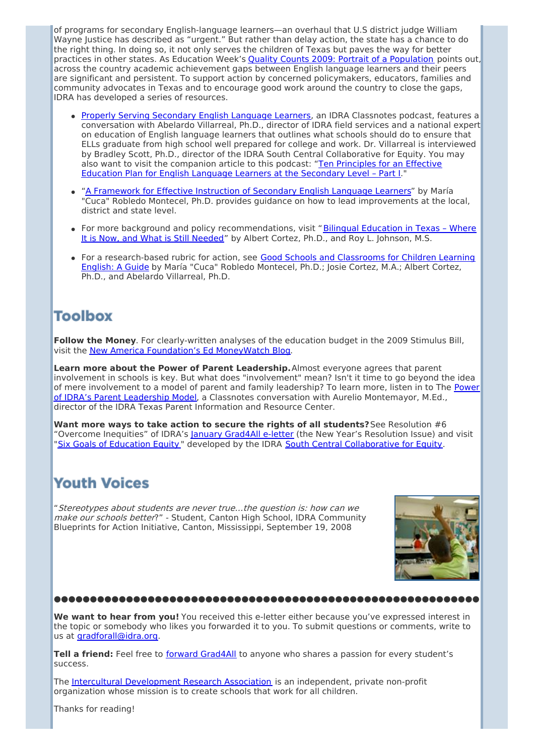of programs for secondary English-language learners—an overhaul that U.S district judge William Wayne Justice has described as "urgent." But rather than delay action, the state has a chance to do the right thing. In doing so, it not only serves the children of Texas but paves the way for better practices in other states. As Education Week's Quality Counts 2009: Portrait of a [Population](http://idra.createsend1.com/t/r/l/jddtth/l/u) points out, across the country academic achievement gaps between English language learners and their peers are significant and persistent. To support action by concerned policymakers, educators, families and community advocates in Texas and to encourage good work around the country to close the gaps, IDRA has developed a series of resources.

- Properly Serving [Secondary](http://idra.createsend1.com/t/r/l/jddtth/l/o) English Language Learners, an IDRA Classnotes podcast, features a conversation with Abelardo Villarreal, Ph.D., director of IDRA field services and a national expert on education of English language learners that outlines what schools should do to ensure that ELLs graduate from high school well prepared for college and work. Dr. Villarreal is interviewed by Bradley Scott, Ph.D., director of the IDRA South Central Collaborative for Equity. You may also want to visit the [companion](http://idra.createsend1.com/t/r/l/jddtth/l/b) article to this podcast: "Ten Principles for an Effective Education Plan for English Language Learners at the Secondary Level – Part I."
- "A [Framework](http://idra.createsend1.com/t/r/l/jddtth/l/n) for Effective Instruction of Secondary English Language Learners" by María "Cuca" Robledo Montecel, Ph.D. provides guidance on how to lead improvements at the local, district and state level.
- For more background and policy [recommendations,](http://idra.createsend1.com/t/r/l/jddtth/l/p) visit "Bilingual Education in Texas Where It is Now, and What is Still Needed" by Albert Cortez, Ph.D., and Roy L. Johnson, M.S.
- For a [research-based](http://idra.createsend1.com/t/r/l/jddtth/l/x) rubric for action, see Good Schools and Classrooms for Children Learning English: A Guide by María "Cuca" Robledo Montecel, Ph.D.; Josie Cortez, M.A.; Albert Cortez, Ph.D., and Abelardo Villarreal, Ph.D.

## **Toolbox**

**Follow the Money**. For clearly-written analyses of the education budget in the 2009 Stimulus Bill, visit the New America Foundation's Ed [MoneyWatch](http://idra.createsend1.com/t/r/l/jddtth/l/m) Blog.

**Learn more about the Power of Parent Leadership.**Almost everyone agrees that parent involvement in schools is key. But what does "involvement" mean? Isn't it time to go beyond the idea of mere involvement to a model of parent and family leadership? To learn more, listen in to The Power of IDRA's Parent Leadership Model, a Classnotes conversation with Aurelio [Montemayor,](http://idra.createsend1.com/t/r/l/jddtth/l/c) M.Ed., director of the IDRA Texas Parent Information and Resource Center.

**Want more ways to take action to secure the rights of all students?**See Resolution #6 "Overcome Inequities" of IDRA's January [Grad4All](http://idra.createsend1.com/t/r/l/jddtth/l/q) e-letter (the New Year's Resolution Issue) and visit "Six Goals of [Education](http://idra.createsend1.com/t/r/l/jddtth/l/a) Equity " developed by the IDRA South Central [Collaborative](http://idra.createsend1.com/t/r/l/jddtth/l/f) for Equity.

## **Youth Voices**

"Stereotypes about students are never true…the question is: how can we make our schools better?" - Student, Canton High School, IDRA Community Blueprints for Action Initiative, Canton, Mississippi, September 19, 2008



#### ●●●●●●●●●●●●●●●●●●●●●●●●●●●●●●●●●●●●●●●●●●●●●●●●●●●●●●●●●●●

**We want to hear from you!** You received this e-letter either because you've expressed interest in the topic or somebody who likes you forwarded it to you. To submit questions or comments, write to us at [gradforall@idra.org](mailto:gradforall@idra.org).

**Tell a friend:** Feel free to forward [Grad4All](http://idra.createsend1.com/t/r/l/jddtth/l/z) to anyone who shares a passion for every student's success.

The Intercultural [Development](http://idra.createsend1.com/t/r/l/jddtth/l/v) Research Association is an independent, private non-profit organization whose mission is to create schools that work for all children.

Thanks for reading!